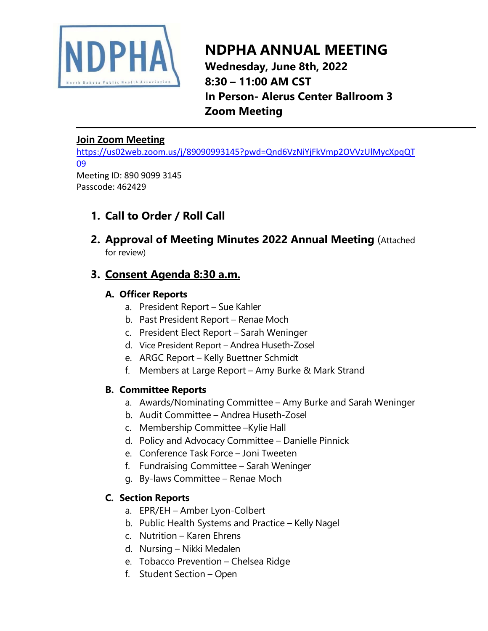

# **NDPHA ANNUAL MEETING Wednesday, June 8th, 2022 8:30 – 11:00 AM CST In Person- Alerus Center Ballroom 3 Zoom Meeting**

### **Join Zoom Meeting**

[https://us02web.zoom.us/j/89090993145?pwd=Qnd6VzNiYjFkVmp2OVVzUlMycXpqQT](https://us02web.zoom.us/j/89090993145?pwd=Qnd6VzNiYjFkVmp2OVVzUlMycXpqQT09) [09](https://us02web.zoom.us/j/89090993145?pwd=Qnd6VzNiYjFkVmp2OVVzUlMycXpqQT09) Meeting ID: 890 9099 3145

Passcode: 462429

## **1. Call to Order / Roll Call**

**2. Approval of Meeting Minutes 2022 Annual Meeting** (Attached for review)

## **3. Consent Agenda 8:30 a.m.**

## **A. Officer Reports**

- a. President Report Sue Kahler
- b. Past President Report Renae Moch
- c. President Elect Report Sarah Weninger
- d. Vice President Report Andrea Huseth-Zosel
- e. ARGC Report Kelly Buettner Schmidt
- f. Members at Large Report Amy Burke & Mark Strand

### **B. Committee Reports**

- a. Awards/Nominating Committee Amy Burke and Sarah Weninger
- b. Audit Committee Andrea Huseth-Zosel
- c. Membership Committee –Kylie Hall
- d. Policy and Advocacy Committee Danielle Pinnick
- e. Conference Task Force Joni Tweeten
- f. Fundraising Committee Sarah Weninger
- g. By-laws Committee Renae Moch

### **C. Section Reports**

- a. EPR/EH Amber Lyon-Colbert
- b. Public Health Systems and Practice Kelly Nagel
- c. Nutrition Karen Ehrens
- d. Nursing Nikki Medalen
- e. Tobacco Prevention Chelsea Ridge
- f. Student Section Open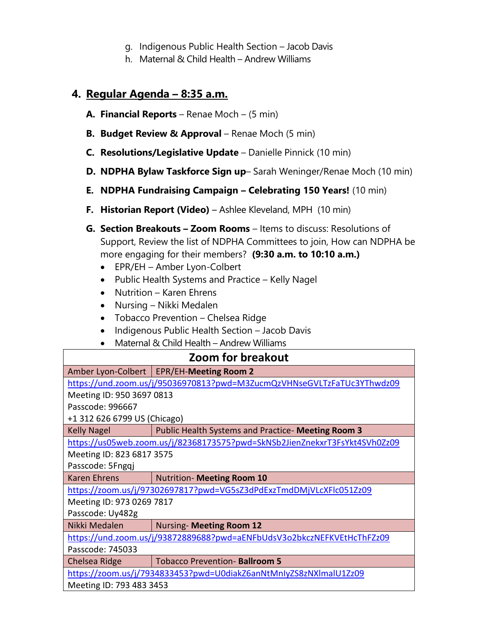- g. Indigenous Public Health Section Jacob Davis
- h. Maternal & Child Health Andrew Williams

## **4. Regular Agenda – 8:35 a.m.**

- **A. Financial Reports** Renae Moch (5 min)
- **B. Budget Review & Approval** Renae Moch (5 min)
- **C. Resolutions/Legislative Update** Danielle Pinnick (10 min)
- **D. NDPHA Bylaw Taskforce Sign up** Sarah Weninger/Renae Moch (10 min)
- **E. NDPHA Fundraising Campaign – Celebrating 150 Years!** (10 min)
- **F. Historian Report (Video)** Ashlee Kleveland, MPH (10 min)
- **G. Section Breakouts – Zoom Rooms** Items to discuss: Resolutions of Support, Review the list of NDPHA Committees to join, How can NDPHA be more engaging for their members? **(9:30 a.m. to 10:10 a.m.)** 
	- EPR/EH Amber Lyon-Colbert
	- Public Health Systems and Practice Kelly Nagel
	- Nutrition Karen Ehrens
	- Nursing Nikki Medalen
	- Tobacco Prevention Chelsea Ridge
	- Indigenous Public Health Section Jacob Davis
	- Maternal & Child Health Andrew Williams

| https://und.zoom.us/j/95036970813?pwd=M3ZucmQzVHNseGVLTzFaTUc3YThwdz09     |  |  |
|----------------------------------------------------------------------------|--|--|
| Meeting ID: 950 3697 0813                                                  |  |  |
|                                                                            |  |  |
| +1 312 626 6799 US (Chicago)                                               |  |  |
|                                                                            |  |  |
| https://us05web.zoom.us/j/82368173575?pwd=SkNSb2JienZnekxrT3FsYkt4SVh0Zz09 |  |  |
| Meeting ID: 823 6817 3575                                                  |  |  |
| Passcode: 5Fngqj                                                           |  |  |
|                                                                            |  |  |
| https://zoom.us/j/97302697817?pwd=VG5sZ3dPdExzTmdDMjVLcXFlc051Zz09         |  |  |
| Meeting ID: 973 0269 7817                                                  |  |  |
| Passcode: Uy482g                                                           |  |  |
|                                                                            |  |  |
|                                                                            |  |  |
| Passcode: 745033                                                           |  |  |
|                                                                            |  |  |
| https://zoom.us/j/7934833453?pwd=U0diakZ6anNtMnIyZS8zNXImalU1Zz09          |  |  |
| Meeting ID: 793 483 3453                                                   |  |  |
|                                                                            |  |  |